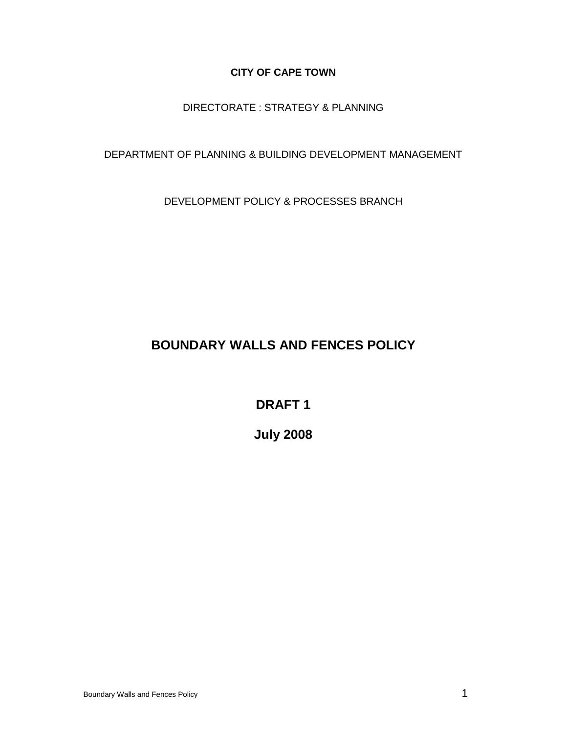### **CITY OF CAPE TOWN**

## DIRECTORATE : STRATEGY & PLANNING

### DEPARTMENT OF PLANNING & BUILDING DEVELOPMENT MANAGEMENT

DEVELOPMENT POLICY & PROCESSES BRANCH

# **BOUNDARY WALLS AND FENCES POLICY**

**DRAFT 1**

**July 2008**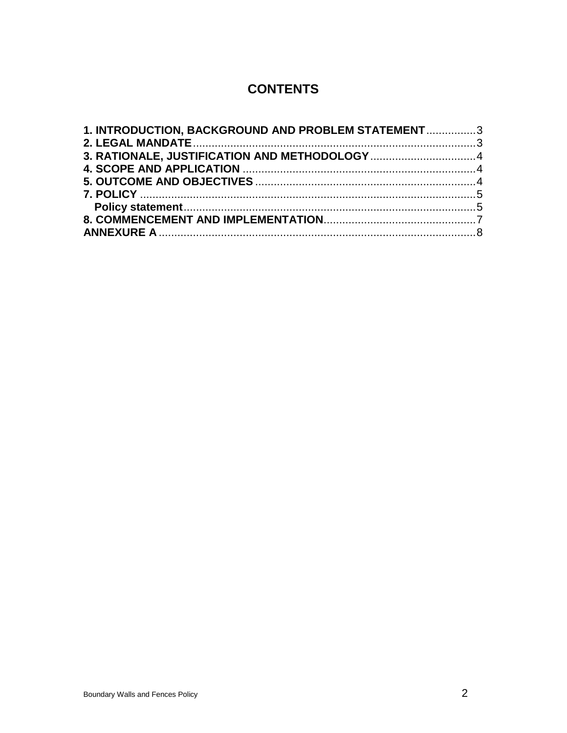# **CONTENTS**

| 1. INTRODUCTION, BACKGROUND AND PROBLEM STATEMENT3 |  |
|----------------------------------------------------|--|
|                                                    |  |
|                                                    |  |
|                                                    |  |
|                                                    |  |
|                                                    |  |
|                                                    |  |
|                                                    |  |
|                                                    |  |
|                                                    |  |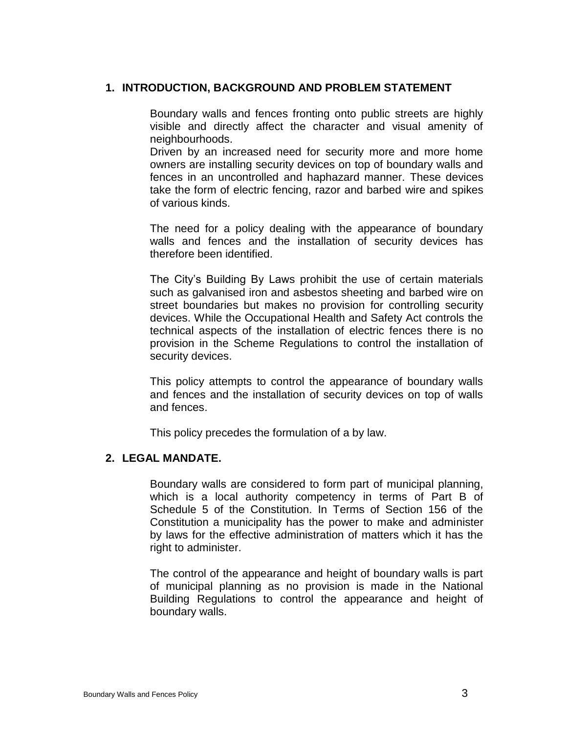### **1. INTRODUCTION, BACKGROUND AND PROBLEM STATEMENT**

<span id="page-2-0"></span>Boundary walls and fences fronting onto public streets are highly visible and directly affect the character and visual amenity of neighbourhoods.

Driven by an increased need for security more and more home owners are installing security devices on top of boundary walls and fences in an uncontrolled and haphazard manner. These devices take the form of electric fencing, razor and barbed wire and spikes of various kinds.

The need for a policy dealing with the appearance of boundary walls and fences and the installation of security devices has therefore been identified.

The City's Building By Laws prohibit the use of certain materials such as galvanised iron and asbestos sheeting and barbed wire on street boundaries but makes no provision for controlling security devices. While the Occupational Health and Safety Act controls the technical aspects of the installation of electric fences there is no provision in the Scheme Regulations to control the installation of security devices.

This policy attempts to control the appearance of boundary walls and fences and the installation of security devices on top of walls and fences.

<span id="page-2-1"></span>This policy precedes the formulation of a by law.

## **2. LEGAL MANDATE.**

Boundary walls are considered to form part of municipal planning, which is a local authority competency in terms of Part B of Schedule 5 of the Constitution. In Terms of Section 156 of the Constitution a municipality has the power to make and administer by laws for the effective administration of matters which it has the right to administer.

The control of the appearance and height of boundary walls is part of municipal planning as no provision is made in the National Building Regulations to control the appearance and height of boundary walls.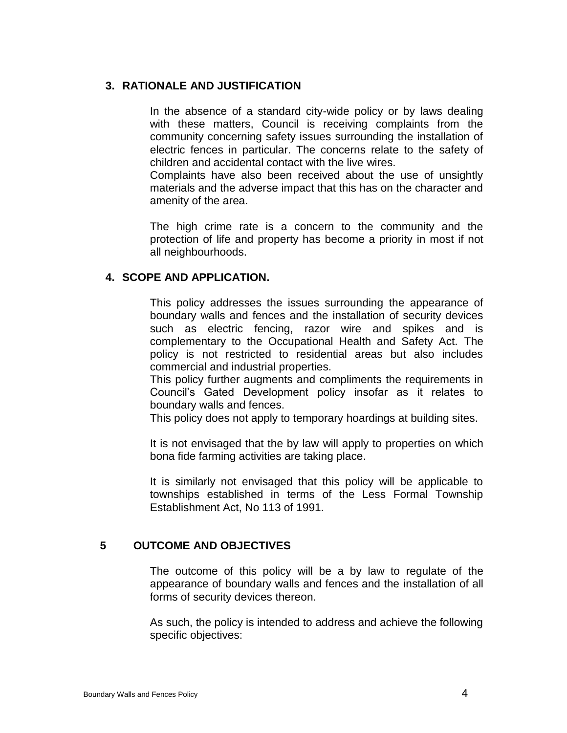## **3. RATIONALE AND JUSTIFICATION**

<span id="page-3-0"></span>In the absence of a standard city-wide policy or by laws dealing with these matters, Council is receiving complaints from the community concerning safety issues surrounding the installation of electric fences in particular. The concerns relate to the safety of children and accidental contact with the live wires.

Complaints have also been received about the use of unsightly materials and the adverse impact that this has on the character and amenity of the area.

The high crime rate is a concern to the community and the protection of life and property has become a priority in most if not all neighbourhoods.

#### **4. SCOPE AND APPLICATION.**

<span id="page-3-1"></span>This policy addresses the issues surrounding the appearance of boundary walls and fences and the installation of security devices such as electric fencing, razor wire and spikes and is complementary to the Occupational Health and Safety Act. The policy is not restricted to residential areas but also includes commercial and industrial properties.

This policy further augments and compliments the requirements in Council's Gated Development policy insofar as it relates to boundary walls and fences.

This policy does not apply to temporary hoardings at building sites.

It is not envisaged that the by law will apply to properties on which bona fide farming activities are taking place.

It is similarly not envisaged that this policy will be applicable to townships established in terms of the Less Formal Township Establishment Act, No 113 of 1991.

### **5 OUTCOME AND OBJECTIVES**

<span id="page-3-2"></span>The outcome of this policy will be a by law to regulate of the appearance of boundary walls and fences and the installation of all forms of security devices thereon.

As such, the policy is intended to address and achieve the following specific objectives: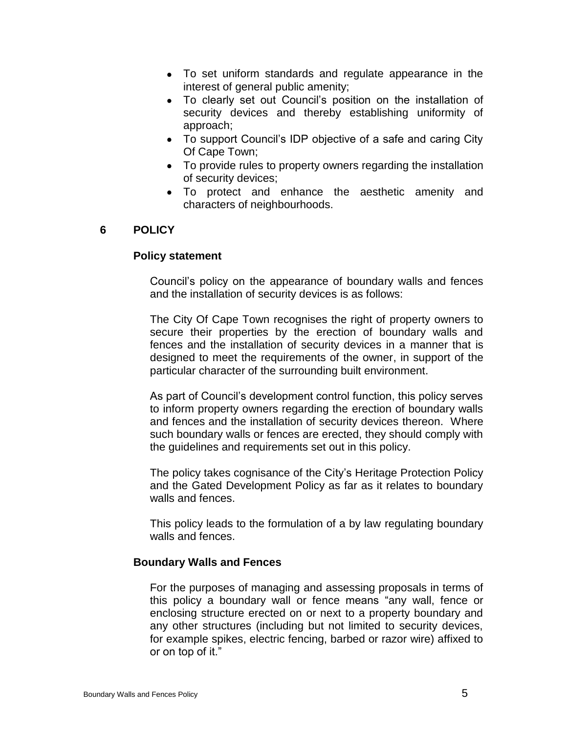- To set uniform standards and regulate appearance in the interest of general public amenity;
- To clearly set out Council's position on the installation of security devices and thereby establishing uniformity of approach;
- To support Council's IDP objective of a safe and caring City Of Cape Town;
- To provide rules to property owners regarding the installation of security devices;
- <span id="page-4-0"></span>To protect and enhance the aesthetic amenity and characters of neighbourhoods.

## **6 POLICY**

#### **Policy statement**

<span id="page-4-1"></span>Council's policy on the appearance of boundary walls and fences and the installation of security devices is as follows:

The City Of Cape Town recognises the right of property owners to secure their properties by the erection of boundary walls and fences and the installation of security devices in a manner that is designed to meet the requirements of the owner, in support of the particular character of the surrounding built environment.

As part of Council's development control function, this policy serves to inform property owners regarding the erection of boundary walls and fences and the installation of security devices thereon. Where such boundary walls or fences are erected, they should comply with the guidelines and requirements set out in this policy.

The policy takes cognisance of the City's Heritage Protection Policy and the Gated Development Policy as far as it relates to boundary walls and fences.

This policy leads to the formulation of a by law regulating boundary walls and fences.

#### **Boundary Walls and Fences**

For the purposes of managing and assessing proposals in terms of this policy a boundary wall or fence means "any wall, fence or enclosing structure erected on or next to a property boundary and any other structures (including but not limited to security devices, for example spikes, electric fencing, barbed or razor wire) affixed to or on top of it."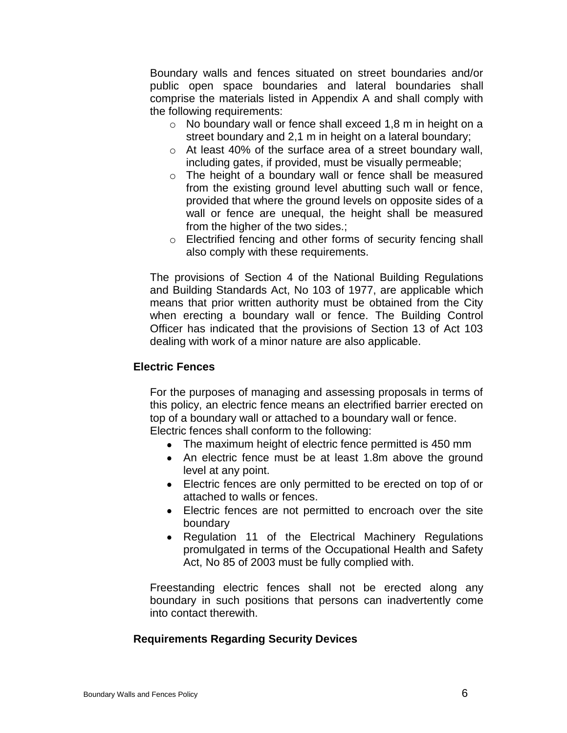Boundary walls and fences situated on street boundaries and/or public open space boundaries and lateral boundaries shall comprise the materials listed in Appendix A and shall comply with the following requirements:

- o No boundary wall or fence shall exceed 1,8 m in height on a street boundary and 2,1 m in height on a lateral boundary;
- o At least 40% of the surface area of a street boundary wall, including gates, if provided, must be visually permeable;
- o The height of a boundary wall or fence shall be measured from the existing ground level abutting such wall or fence, provided that where the ground levels on opposite sides of a wall or fence are unequal, the height shall be measured from the higher of the two sides.;
- o Electrified fencing and other forms of security fencing shall also comply with these requirements.

The provisions of Section 4 of the National Building Regulations and Building Standards Act, No 103 of 1977, are applicable which means that prior written authority must be obtained from the City when erecting a boundary wall or fence. The Building Control Officer has indicated that the provisions of Section 13 of Act 103 dealing with work of a minor nature are also applicable.

#### **Electric Fences**

For the purposes of managing and assessing proposals in terms of this policy, an electric fence means an electrified barrier erected on top of a boundary wall or attached to a boundary wall or fence. Electric fences shall conform to the following:

- The maximum height of electric fence permitted is 450 mm
- An electric fence must be at least 1.8m above the ground level at any point.
- Electric fences are only permitted to be erected on top of or attached to walls or fences.
- Electric fences are not permitted to encroach over the site boundary
- Regulation 11 of the Electrical Machinery Regulations promulgated in terms of the Occupational Health and Safety Act, No 85 of 2003 must be fully complied with.

Freestanding electric fences shall not be erected along any boundary in such positions that persons can inadvertently come into contact therewith.

## **Requirements Regarding Security Devices**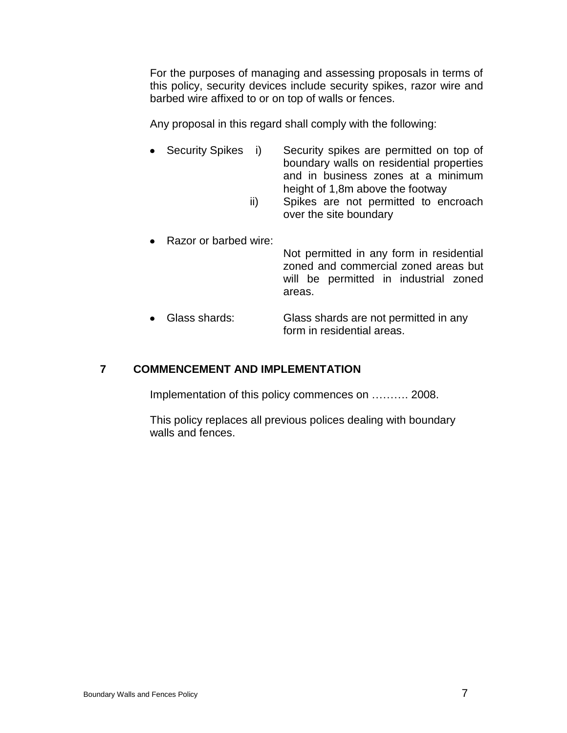For the purposes of managing and assessing proposals in terms of this policy, security devices include security spikes, razor wire and barbed wire affixed to or on top of walls or fences.

Any proposal in this regard shall comply with the following:

- Security Spikes i) Security spikes are permitted on top of boundary walls on residential properties and in business zones at a minimum height of 1,8m above the footway
	- ii) Spikes are not permitted to encroach over the site boundary
- Razor or barbed wire: Not permitted in any form in residential zoned and commercial zoned areas but will be permitted in industrial zoned areas.
- Glass shards: Glass shards are not permitted in any form in residential areas.

## **7 COMMENCEMENT AND IMPLEMENTATION**

<span id="page-6-0"></span>Implementation of this policy commences on ………. 2008.

This policy replaces all previous polices dealing with boundary walls and fences.